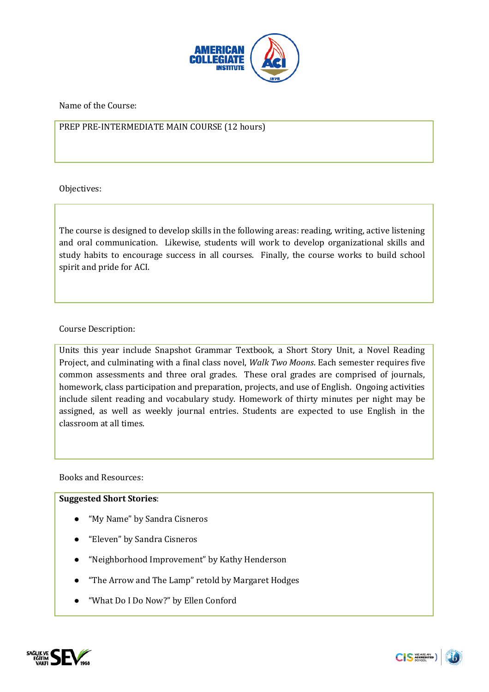

Name of the Course:

## PREP PRE-INTERMEDIATE MAIN COURSE (12 hours)

Objectives:

The course is designed to develop skills in the following areas: reading, writing, active listening and oral communication. Likewise, students will work to develop organizational skills and study habits to encourage success in all courses. Finally, the course works to build school spirit and pride for ACI.

Course Description:

Units this year include Snapshot Grammar Textbook, a Short Story Unit, a Novel Reading Project, and culminating with a final class novel, *Walk Two Moons*. Each semester requires five common assessments and three oral grades. These oral grades are comprised of journals, homework, class participation and preparation, projects, and use of English. Ongoing activities include silent reading and vocabulary study. Homework of thirty minutes per night may be assigned, as well as weekly journal entries. Students are expected to use English in the classroom at all times.

Books and Resources:

## **Suggested Short Stories**:

- "My Name" by Sandra Cisneros
- "Eleven" by Sandra Cisneros
- "Neighborhood Improvement" by Kathy Henderson
- "The Arrow and The Lamp" retold by Margaret Hodges
- "What Do I Do Now?" by Ellen Conford

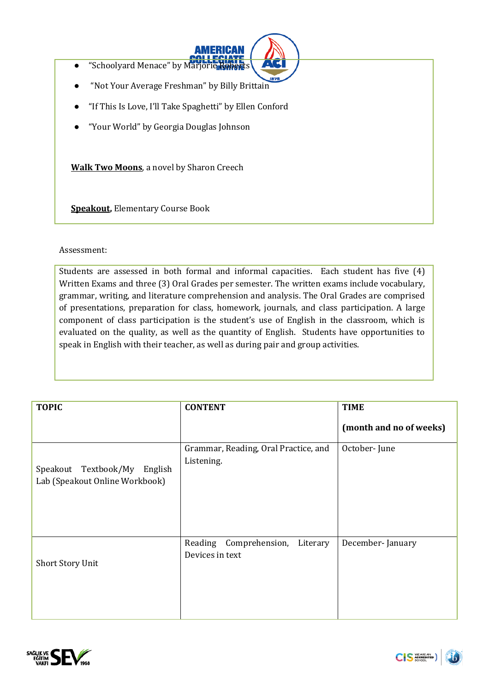- "Schoolyard Menace" by Marjorie R
- "Not Your Average Freshman" by Billy Brittain
- "If This Is Love, I'll Take Spaghetti" by Ellen Conford

**AMERICAN** 

"Your World" by Georgia Douglas Johnson

**Walk Two Moons**, a novel by Sharon Creech

 **Speakout,** Elementary Course Book

Assessment:

Students are assessed in both formal and informal capacities. Each student has five (4) Written Exams and three (3) Oral Grades per semester. The written exams include vocabulary, grammar, writing, and literature comprehension and analysis. The Oral Grades are comprised of presentations, preparation for class, homework, journals, and class participation. A large component of class participation is the student's use of English in the classroom, which is evaluated on the quality, as well as the quantity of English. Students have opportunities to speak in English with their teacher, as well as during pair and group activities.

| <b>TOPIC</b>                                                      | <b>CONTENT</b>                                     | <b>TIME</b>             |
|-------------------------------------------------------------------|----------------------------------------------------|-------------------------|
|                                                                   |                                                    | (month and no of weeks) |
| Speakout Textbook/My<br>English<br>Lab (Speakout Online Workbook) | Grammar, Reading, Oral Practice, and<br>Listening. | October-June            |
| <b>Short Story Unit</b>                                           | Reading Comprehension, Literary<br>Devices in text | December-January        |